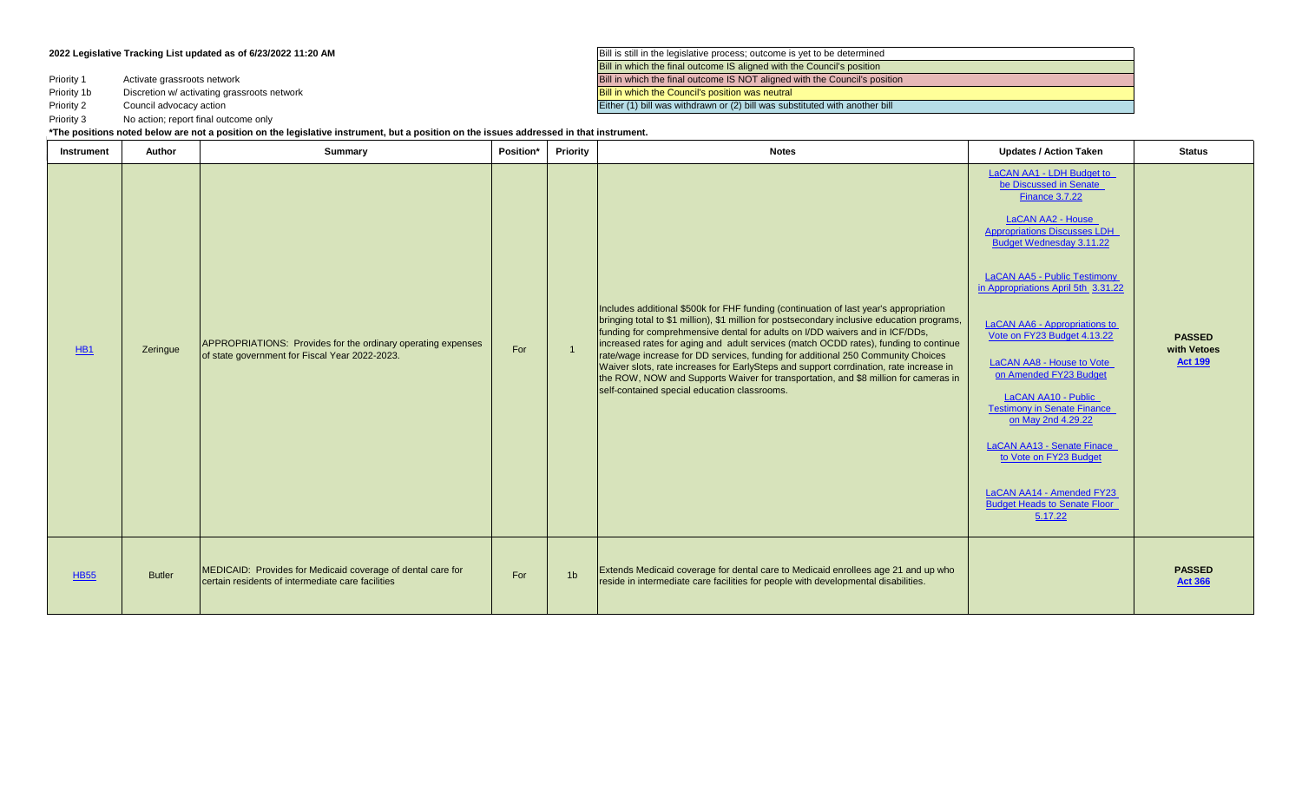Priority 1

Priority 1b

Priority 2

Priority 3 No action; report final outcome only

**2022 Legislative Tracking List updated as of 6/23/2022 11:20 AM Bill is still in the legislative process**; outcome is yet to be determined Bill in which the final outcome IS aligned with the Council's position Activate grassroots network **Bill in which the final outcome IS NOT aligned with the Council's position** Discretion w/ activating grassroots network Bill in which the Council's position was neutral Council advocacy action **Either (1)** bill was withdrawn or (2) bill was substituted with another bill

[LaCAN AA1 - LDH Budget to](https://laddc.org/wp-content/uploads/2022/03/LaCAN-AA1-Contact-Senate-Finance-Budget-3.7.22.pdf) 

Instrument | Author | Summary | Position\* | Priority | Notes Updates / Action Taken Status **\*The positions noted below are not a position on the legislative instrument, but a position on the issues addressed in that instrument.**

| HB <sub>1</sub> | Zeringue      | APPROPRIATIONS: Provides for the ordinary operating expenses<br>of state government for Fiscal Year 2022-2023.   | For |                | Includes additional \$500k for FHF funding (continuation of last year's appropriation<br>bringing total to \$1 million), \$1 million for postsecondary inclusive education programs,<br>funding for comprehmensive dental for adults on I/DD waivers and in ICF/DDs,<br>increased rates for aging and adult services (match OCDD rates), funding to continue<br>rate/wage increase for DD services, funding for additional 250 Community Choices<br>Waiver slots, rate increases for EarlySteps and support corrdination, rate increase in<br>the ROW, NOW and Supports Waiver for transportation, and \$8 million for cameras in<br>self-contained special education classrooms. | be Discussed in Senate<br><b>Finance 3.7.22</b><br>LaCAN AA2 - House<br><b>Appropriations Discusses LDH</b><br><b>Budget Wednesday 3.11.22</b><br><b>LaCAN AA5 - Public Testimony</b><br>in Appropriations April 5th 3.31.22<br>LaCAN AA6 - Appropriations to<br>Vote on FY23 Budget 4.13.22<br><b>LaCAN AA8 - House to Vote</b><br>on Amended FY23 Budget<br><b>LaCAN AA10 - Public</b><br><b>Testimony in Senate Finance</b><br>on May 2nd 4.29.22<br>LaCAN AA13 - Senate Finace<br>to Vote on FY23 Budget<br>LaCAN AA14 - Amended FY23<br><b>Budget Heads to Senate Floor</b><br>5.17.22 | <b>PASSED</b><br>with Vetoes<br><b>Act 199</b> |
|-----------------|---------------|------------------------------------------------------------------------------------------------------------------|-----|----------------|-----------------------------------------------------------------------------------------------------------------------------------------------------------------------------------------------------------------------------------------------------------------------------------------------------------------------------------------------------------------------------------------------------------------------------------------------------------------------------------------------------------------------------------------------------------------------------------------------------------------------------------------------------------------------------------|---------------------------------------------------------------------------------------------------------------------------------------------------------------------------------------------------------------------------------------------------------------------------------------------------------------------------------------------------------------------------------------------------------------------------------------------------------------------------------------------------------------------------------------------------------------------------------------------|------------------------------------------------|
| <b>HB55</b>     | <b>Butler</b> | MEDICAID: Provides for Medicaid coverage of dental care for<br>certain residents of intermediate care facilities | For | 1 <sub>b</sub> | Extends Medicaid coverage for dental care to Medicaid enrollees age 21 and up who<br>reside in intermediate care facilities for people with developmental disabilities.                                                                                                                                                                                                                                                                                                                                                                                                                                                                                                           |                                                                                                                                                                                                                                                                                                                                                                                                                                                                                                                                                                                             | <b>PASSED</b><br><b>Act 366</b>                |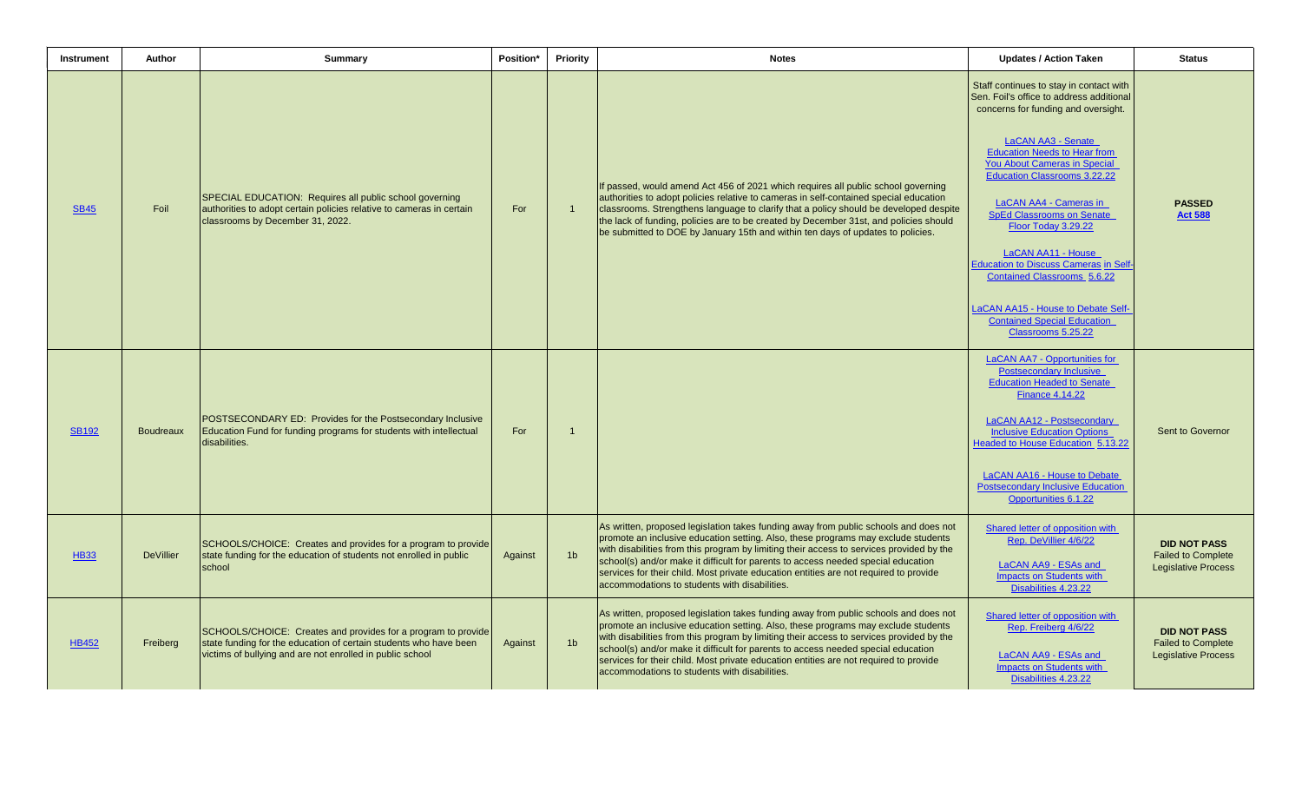| Instrument   | Author           | <b>Summary</b>                                                                                                                                                                                  | Position* | <b>Priority</b> | <b>Notes</b>                                                                                                                                                                                                                                                                                                                                                                                                                                                                                         | <b>Updates / Action Taken</b>                                                                                                                                                                                                                                                                                                                                                                                                                                                                                                                                            | <b>Status</b>                                                                  |
|--------------|------------------|-------------------------------------------------------------------------------------------------------------------------------------------------------------------------------------------------|-----------|-----------------|------------------------------------------------------------------------------------------------------------------------------------------------------------------------------------------------------------------------------------------------------------------------------------------------------------------------------------------------------------------------------------------------------------------------------------------------------------------------------------------------------|--------------------------------------------------------------------------------------------------------------------------------------------------------------------------------------------------------------------------------------------------------------------------------------------------------------------------------------------------------------------------------------------------------------------------------------------------------------------------------------------------------------------------------------------------------------------------|--------------------------------------------------------------------------------|
| <b>SB45</b>  | Foil             | SPECIAL EDUCATION: Requires all public school governing<br>authorities to adopt certain policies relative to cameras in certain<br>classrooms by December 31, 2022.                             | For       | $\overline{1}$  | If passed, would amend Act 456 of 2021 which requires all public school governing<br>authorities to adopt policies relative to cameras in self-contained special education<br>classrooms. Strengthens language to clarify that a policy should be developed despite<br>the lack of funding, policies are to be created by December 31st, and policies should<br>be submitted to DOE by January 15th and within ten days of updates to policies.                                                      | Staff continues to stay in contact with<br>Sen. Foil's office to address additional<br>concerns for funding and oversight.<br><b>LaCAN AA3 - Senate</b><br><b>Education Needs to Hear from</b><br><b>You About Cameras in Special</b><br><b>Education Classrooms 3.22.22</b><br>LaCAN AA4 - Cameras in<br><b>SpEd Classrooms on Senate</b><br>Floor Today 3.29.22<br>LaCAN AA11 - House<br>Education to Discuss Cameras in Self-<br><b>Contained Classrooms 5.6.22</b><br>LaCAN AA15 - House to Debate Self-<br><b>Contained Special Education</b><br>Classrooms 5.25.22 | <b>PASSED</b><br><b>Act 588</b>                                                |
| <b>SB192</b> | Boudreaux        | POSTSECONDARY ED: Provides for the Postsecondary Inclusive<br>Education Fund for funding programs for students with intellectual<br>disabilities.                                               | For       | $\mathbf{1}$    |                                                                                                                                                                                                                                                                                                                                                                                                                                                                                                      | <b>LaCAN AA7 - Opportunities for</b><br><b>Postsecondary Inclusive</b><br><b>Education Headed to Senate</b><br><b>Finance 4.14.22</b><br>LaCAN AA12 - Postsecondary<br><b>Inclusive Education Options</b><br><b>Headed to House Education 5.13.22</b><br>LaCAN AA16 - House to Debate<br>Postsecondary Inclusive Education<br>Opportunities 6.1.22                                                                                                                                                                                                                       | Sent to Governor                                                               |
| <b>HB33</b>  | <b>DeVillier</b> | SCHOOLS/CHOICE: Creates and provides for a program to provide<br>state funding for the education of students not enrolled in public<br>school                                                   | Against   | 1 <sub>b</sub>  | As written, proposed legislation takes funding away from public schools and does not<br>promote an inclusive education setting. Also, these programs may exclude students<br>with disabilities from this program by limiting their access to services provided by the<br>school(s) and/or make it difficult for parents to access needed special education<br>services for their child. Most private education entities are not required to provide<br>accommodations to students with disabilities. | Shared letter of opposition with<br>Rep. DeVillier 4/6/22<br>LaCAN AA9 - ESAs and<br><b>Impacts on Students with</b><br>Disabilities 4.23.22                                                                                                                                                                                                                                                                                                                                                                                                                             | <b>DID NOT PASS</b><br><b>Failed to Complete</b><br><b>Legislative Process</b> |
| <b>HB452</b> | Freiberg         | SCHOOLS/CHOICE: Creates and provides for a program to provide<br>state funding for the education of certain students who have been<br>victims of bullying and are not enrolled in public school | Against   | 1 <sub>b</sub>  | As written, proposed legislation takes funding away from public schools and does not<br>promote an inclusive education setting. Also, these programs may exclude students<br>with disabilities from this program by limiting their access to services provided by the<br>school(s) and/or make it difficult for parents to access needed special education<br>services for their child. Most private education entities are not required to provide<br>accommodations to students with disabilities. | Shared letter of opposition with<br>Rep. Freiberg 4/6/22<br>LaCAN AA9 - ESAs and<br><b>Impacts on Students with</b><br>Disabilities 4.23.22                                                                                                                                                                                                                                                                                                                                                                                                                              | <b>DID NOT PASS</b><br><b>Failed to Complete</b><br><b>Legislative Process</b> |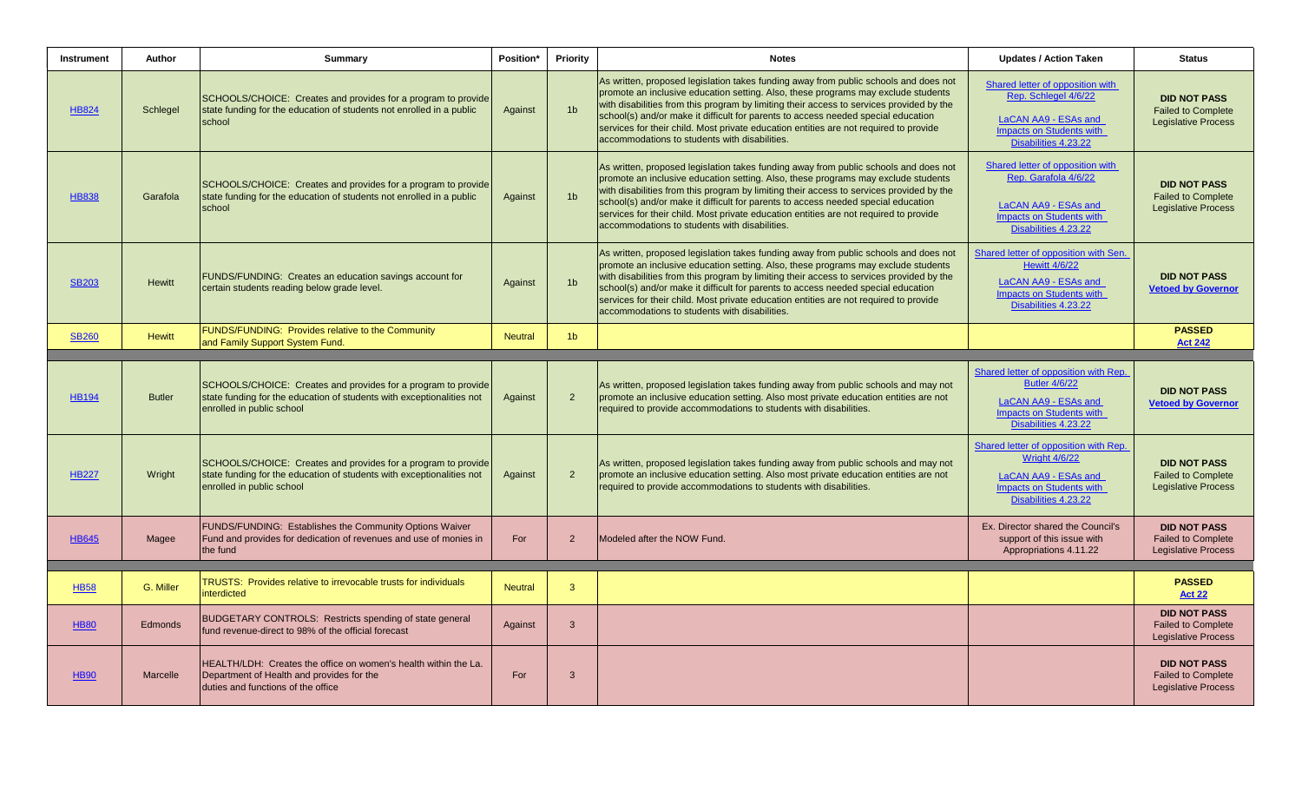| <b>Instrument</b> | Author          | <b>Summary</b>                                                                                                                                                      | Position*      | Priority       | <b>Notes</b>                                                                                                                                                                                                                                                                                                                                                                                                                                                                                         | <b>Updates / Action Taken</b>                                                                                                                    | <b>Status</b>                                                                  |
|-------------------|-----------------|---------------------------------------------------------------------------------------------------------------------------------------------------------------------|----------------|----------------|------------------------------------------------------------------------------------------------------------------------------------------------------------------------------------------------------------------------------------------------------------------------------------------------------------------------------------------------------------------------------------------------------------------------------------------------------------------------------------------------------|--------------------------------------------------------------------------------------------------------------------------------------------------|--------------------------------------------------------------------------------|
| <b>HB824</b>      | Schlegel        | SCHOOLS/CHOICE: Creates and provides for a program to provide<br>state funding for the education of students not enrolled in a public<br>school                     | Against        | 1 <sub>b</sub> | As written, proposed legislation takes funding away from public schools and does not<br>promote an inclusive education setting. Also, these programs may exclude students<br>with disabilities from this program by limiting their access to services provided by the<br>school(s) and/or make it difficult for parents to access needed special education<br>services for their child. Most private education entities are not required to provide<br>accommodations to students with disabilities. | Shared letter of opposition with<br>Rep. Schlegel 4/6/22<br>LaCAN AA9 - ESAs and<br>Impacts on Students with<br>Disabilities 4.23.22             | <b>DID NOT PASS</b><br><b>Failed to Complete</b><br><b>Legislative Process</b> |
| <b>HB838</b>      | Garafola        | SCHOOLS/CHOICE: Creates and provides for a program to provide<br>state funding for the education of students not enrolled in a public<br>school                     | Against        | 1 <sub>b</sub> | As written, proposed legislation takes funding away from public schools and does not<br>promote an inclusive education setting. Also, these programs may exclude students<br>with disabilities from this program by limiting their access to services provided by the<br>school(s) and/or make it difficult for parents to access needed special education<br>services for their child. Most private education entities are not required to provide<br>accommodations to students with disabilities. | Shared letter of opposition with<br>Rep. Garafola 4/6/22<br>LaCAN AA9 - ESAs and<br><b>Impacts on Students with</b><br>Disabilities 4.23.22      | <b>DID NOT PASS</b><br><b>Failed to Complete</b><br><b>Legislative Process</b> |
| <b>SB203</b>      | <b>Hewitt</b>   | FUNDS/FUNDING: Creates an education savings account for<br>certain students reading below grade level.                                                              | Against        | 1 <sub>b</sub> | As written, proposed legislation takes funding away from public schools and does not<br>promote an inclusive education setting. Also, these programs may exclude students<br>with disabilities from this program by limiting their access to services provided by the<br>school(s) and/or make it difficult for parents to access needed special education<br>services for their child. Most private education entities are not required to provide<br>accommodations to students with disabilities. | Shared letter of opposition with Sen.<br><b>Hewitt 4/6/22</b><br>LaCAN AA9 - ESAs and<br>Impacts on Students with<br>Disabilities 4.23.22        | <b>DID NOT PASS</b><br><b>Vetoed by Governor</b>                               |
| <b>SB260</b>      | <b>Hewitt</b>   | FUNDS/FUNDING: Provides relative to the Community<br>and Family Support System Fund.                                                                                | <b>Neutral</b> | 1 <sub>b</sub> |                                                                                                                                                                                                                                                                                                                                                                                                                                                                                                      |                                                                                                                                                  | <b>PASSED</b><br><b>Act 242</b>                                                |
|                   |                 |                                                                                                                                                                     |                |                |                                                                                                                                                                                                                                                                                                                                                                                                                                                                                                      |                                                                                                                                                  |                                                                                |
| <b>HB194</b>      | <b>Butler</b>   | SCHOOLS/CHOICE: Creates and provides for a program to provide<br>state funding for the education of students with exceptionalities not<br>enrolled in public school | Against        | $\overline{2}$ | As written, proposed legislation takes funding away from public schools and may not<br>promote an inclusive education setting. Also most private education entities are not<br>required to provide accommodations to students with disabilities.                                                                                                                                                                                                                                                     | Shared letter of opposition with Rep.<br><b>Butler 4/6/22</b><br>LaCAN AA9 - ESAs and<br><b>Impacts on Students with</b><br>Disabilities 4.23.22 | <b>DID NOT PASS</b><br><b>Vetoed by Governor</b>                               |
| <b>HB227</b>      | Wright          | SCHOOLS/CHOICE: Creates and provides for a program to provide<br>state funding for the education of students with exceptionalities not<br>enrolled in public school | Against        | $\overline{2}$ | As written, proposed legislation takes funding away from public schools and may not<br>promote an inclusive education setting. Also most private education entities are not<br>required to provide accommodations to students with disabilities.                                                                                                                                                                                                                                                     | Shared letter of opposition with Rep.<br><b>Wright 4/6/22</b><br>LaCAN AA9 - ESAs and<br>Impacts on Students with<br>Disabilities 4.23.22        | <b>DID NOT PASS</b><br><b>Failed to Complete</b><br><b>Legislative Process</b> |
| <b>HB645</b>      | Magee           | FUNDS/FUNDING: Establishes the Community Options Waiver<br>Fund and provides for dedication of revenues and use of monies in<br>the fund                            | For            | $\overline{2}$ | Modeled after the NOW Fund.                                                                                                                                                                                                                                                                                                                                                                                                                                                                          | Ex. Director shared the Council's<br>support of this issue with<br>Appropriations 4.11.22                                                        | <b>DID NOT PASS</b><br><b>Failed to Complete</b><br><b>Legislative Process</b> |
|                   |                 | <b>TRUSTS: Provides relative to irrevocable trusts for individuals</b>                                                                                              |                |                |                                                                                                                                                                                                                                                                                                                                                                                                                                                                                                      |                                                                                                                                                  | <b>PASSED</b>                                                                  |
| <b>HB58</b>       | G. Miller       | interdicted                                                                                                                                                         | <b>Neutral</b> | $\overline{3}$ |                                                                                                                                                                                                                                                                                                                                                                                                                                                                                                      |                                                                                                                                                  | <b>Act 22</b>                                                                  |
| <b>HB80</b>       | <b>Edmonds</b>  | BUDGETARY CONTROLS: Restricts spending of state general<br>fund revenue-direct to 98% of the official forecast                                                      | Against        | $\overline{3}$ |                                                                                                                                                                                                                                                                                                                                                                                                                                                                                                      |                                                                                                                                                  | <b>DID NOT PASS</b><br><b>Failed to Complete</b><br><b>Legislative Process</b> |
| <b>HB90</b>       | <b>Marcelle</b> | HEALTH/LDH: Creates the office on women's health within the La.<br>Department of Health and provides for the<br>duties and functions of the office                  | For            | -3             |                                                                                                                                                                                                                                                                                                                                                                                                                                                                                                      |                                                                                                                                                  | <b>DID NOT PASS</b><br><b>Failed to Complete</b><br><b>Legislative Process</b> |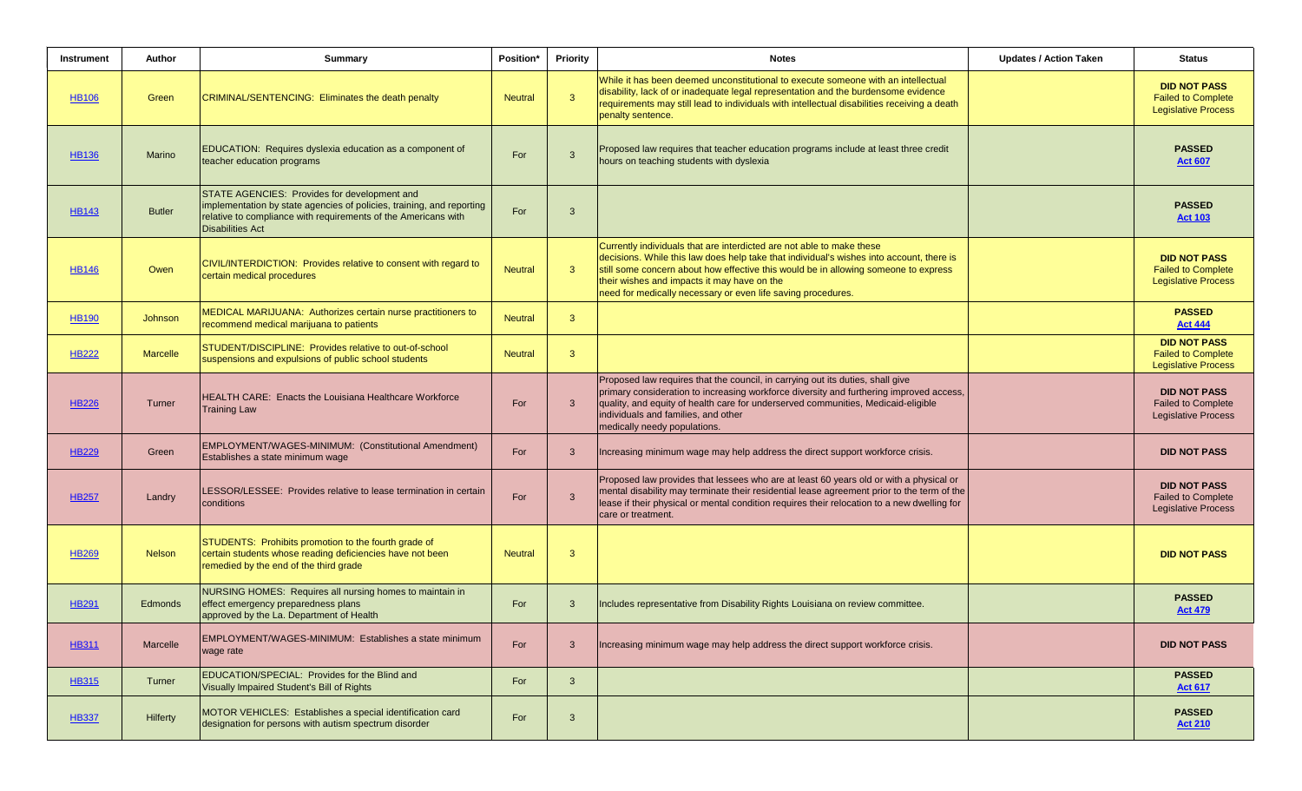| Instrument   | Author          | <b>Summary</b>                                                                                                                                                                                                     | Position*      | Priority       | <b>Notes</b>                                                                                                                                                                                                                                                                                                                                                            | <b>Updates / Action Taken</b> | <b>Status</b>                                                                  |
|--------------|-----------------|--------------------------------------------------------------------------------------------------------------------------------------------------------------------------------------------------------------------|----------------|----------------|-------------------------------------------------------------------------------------------------------------------------------------------------------------------------------------------------------------------------------------------------------------------------------------------------------------------------------------------------------------------------|-------------------------------|--------------------------------------------------------------------------------|
| <b>HB106</b> | Green           | <b>CRIMINAL/SENTENCING: Eliminates the death penalty</b>                                                                                                                                                           | <b>Neutral</b> | $\overline{3}$ | While it has been deemed unconstitutional to execute someone with an intellectual<br>disability, lack of or inadequate legal representation and the burdensome evidence<br>requirements may still lead to individuals with intellectual disabilities receiving a death<br>penalty sentence.                                                                             |                               | <b>DID NOT PASS</b><br><b>Failed to Complete</b><br><b>Legislative Process</b> |
| HB136        | <b>Marino</b>   | EDUCATION: Requires dyslexia education as a component of<br>teacher education programs                                                                                                                             | For            | $\mathbf{3}$   | Proposed law requires that teacher education programs include at least three credit<br>hours on teaching students with dyslexia                                                                                                                                                                                                                                         |                               | <b>PASSED</b><br><b>Act 607</b>                                                |
| <b>HB143</b> | <b>Butler</b>   | STATE AGENCIES: Provides for development and<br>implementation by state agencies of policies, training, and reporting<br>relative to compliance with requirements of the Americans with<br><b>Disabilities Act</b> | For            | $\mathbf{3}$   |                                                                                                                                                                                                                                                                                                                                                                         |                               | <b>PASSED</b><br><b>Act 103</b>                                                |
| HB146        | Owen            | CIVIL/INTERDICTION: Provides relative to consent with regard to<br>certain medical procedures                                                                                                                      | <b>Neutral</b> | $\mathbf{3}$   | Currently individuals that are interdicted are not able to make these<br>decisions. While this law does help take that individual's wishes into account, there is<br>still some concern about how effective this would be in allowing someone to express<br>their wishes and impacts it may have on the<br>need for medically necessary or even life saving procedures. |                               | <b>DID NOT PASS</b><br><b>Failed to Complete</b><br><b>Legislative Process</b> |
| <b>HB190</b> | <b>Johnson</b>  | MEDICAL MARIJUANA: Authorizes certain nurse practitioners to<br>recommend medical marijuana to patients                                                                                                            | <b>Neutral</b> | $\mathbf{3}$   |                                                                                                                                                                                                                                                                                                                                                                         |                               | <b>PASSED</b><br><b>Act 444</b>                                                |
| <b>HB222</b> | <b>Marcelle</b> | STUDENT/DISCIPLINE: Provides relative to out-of-school<br>suspensions and expulsions of public school students                                                                                                     | <b>Neutral</b> | $\mathbf{3}$   |                                                                                                                                                                                                                                                                                                                                                                         |                               | <b>DID NOT PASS</b><br><b>Failed to Complete</b><br><b>Legislative Process</b> |
| <b>HB226</b> | Turner          | <b>HEALTH CARE: Enacts the Louisiana Healthcare Workforce</b><br><b>Training Law</b>                                                                                                                               | For            | $\mathbf{3}$   | Proposed law requires that the council, in carrying out its duties, shall give<br>primary consideration to increasing workforce diversity and furthering improved access,<br>quality, and equity of health care for underserved communities, Medicaid-eligible<br>individuals and families, and other<br>medically needy populations.                                   |                               | <b>DID NOT PASS</b><br><b>Failed to Complete</b><br><b>Legislative Process</b> |
| <b>HB229</b> | Green           | EMPLOYMENT/WAGES-MINIMUM: (Constitutional Amendment)<br>Establishes a state minimum wage                                                                                                                           | For            | $\mathbf{3}$   | Increasing minimum wage may help address the direct support workforce crisis.                                                                                                                                                                                                                                                                                           |                               | <b>DID NOT PASS</b>                                                            |
| <b>HB257</b> | Landry          | LESSOR/LESSEE: Provides relative to lease termination in certain<br>conditions                                                                                                                                     | For            | $\mathbf{3}$   | Proposed law provides that lessees who are at least 60 years old or with a physical or<br>mental disability may terminate their residential lease agreement prior to the term of the<br>lease if their physical or mental condition requires their relocation to a new dwelling for<br>care or treatment.                                                               |                               | <b>DID NOT PASS</b><br><b>Failed to Complete</b><br><b>Legislative Process</b> |
| <b>HB269</b> | <b>Nelson</b>   | <b>STUDENTS: Prohibits promotion to the fourth grade of</b><br>certain students whose reading deficiencies have not been<br>remedied by the end of the third grade                                                 | <b>Neutral</b> | $\mathbf{3}$   |                                                                                                                                                                                                                                                                                                                                                                         |                               | <b>DID NOT PASS</b>                                                            |
| HB291        | Edmonds         | NURSING HOMES: Requires all nursing homes to maintain in<br>effect emergency preparedness plans<br>approved by the La. Department of Health                                                                        | For            | $\mathbf{3}$   | Includes representative from Disability Rights Louisiana on review committee.                                                                                                                                                                                                                                                                                           |                               | <b>PASSED</b><br><b>Act 479</b>                                                |
| <b>HB311</b> | <b>Marcelle</b> | EMPLOYMENT/WAGES-MINIMUM: Establishes a state minimum<br>wage rate                                                                                                                                                 | For            | $\mathbf{3}$   | Increasing minimum wage may help address the direct support workforce crisis.                                                                                                                                                                                                                                                                                           |                               | <b>DID NOT PASS</b>                                                            |
| <b>HB315</b> | Turner          | EDUCATION/SPECIAL: Provides for the Blind and<br>Visually Impaired Student's Bill of Rights                                                                                                                        | For            | $\mathbf{3}$   |                                                                                                                                                                                                                                                                                                                                                                         |                               | <b>PASSED</b><br><b>Act 617</b>                                                |
| <b>HB337</b> | <b>Hilferty</b> | MOTOR VEHICLES: Establishes a special identification card<br>designation for persons with autism spectrum disorder                                                                                                 | For            | $\mathbf{3}$   |                                                                                                                                                                                                                                                                                                                                                                         |                               | <b>PASSED</b><br><b>Act 210</b>                                                |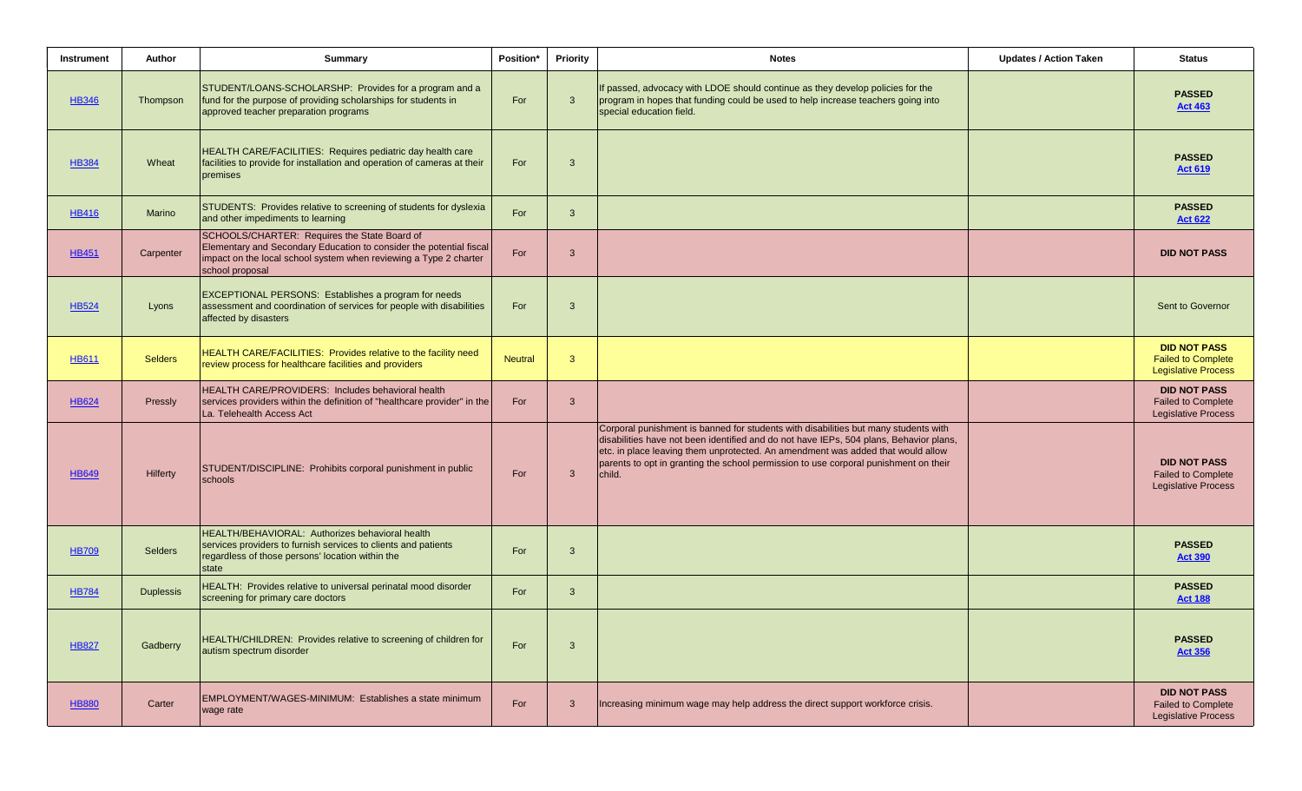| Instrument   | Author           | Summary                                                                                                                                                                                                     | Position*      | Priority     | <b>Notes</b>                                                                                                                                                                                                                                                                                                                                                       | <b>Updates / Action Taken</b> | <b>Status</b>                                                                  |
|--------------|------------------|-------------------------------------------------------------------------------------------------------------------------------------------------------------------------------------------------------------|----------------|--------------|--------------------------------------------------------------------------------------------------------------------------------------------------------------------------------------------------------------------------------------------------------------------------------------------------------------------------------------------------------------------|-------------------------------|--------------------------------------------------------------------------------|
| <b>HB346</b> | Thompson         | STUDENT/LOANS-SCHOLARSHP: Provides for a program and a<br>fund for the purpose of providing scholarships for students in<br>approved teacher preparation programs                                           | For            | 3            | If passed, advocacy with LDOE should continue as they develop policies for the<br>program in hopes that funding could be used to help increase teachers going into<br>special education field.                                                                                                                                                                     |                               | <b>PASSED</b><br><b>Act 463</b>                                                |
| <b>HB384</b> | Wheat            | HEALTH CARE/FACILITIES: Requires pediatric day health care<br>facilities to provide for installation and operation of cameras at their<br>premises                                                          | For            | 3            |                                                                                                                                                                                                                                                                                                                                                                    |                               | <b>PASSED</b><br><b>Act 619</b>                                                |
| <b>HB416</b> | Marino           | STUDENTS: Provides relative to screening of students for dyslexia<br>and other impediments to learning                                                                                                      | For            | $\mathbf{3}$ |                                                                                                                                                                                                                                                                                                                                                                    |                               | <b>PASSED</b><br><b>Act 622</b>                                                |
| <b>HB451</b> | Carpenter        | SCHOOLS/CHARTER: Requires the State Board of<br>Elementary and Secondary Education to consider the potential fiscal<br>impact on the local school system when reviewing a Type 2 charter<br>school proposal | For            | 3            |                                                                                                                                                                                                                                                                                                                                                                    |                               | <b>DID NOT PASS</b>                                                            |
| <b>HB524</b> | Lyons            | EXCEPTIONAL PERSONS: Establishes a program for needs<br>assessment and coordination of services for people with disabilities<br>affected by disasters                                                       | For            | 3            |                                                                                                                                                                                                                                                                                                                                                                    |                               | Sent to Governor                                                               |
| <b>HB611</b> | <b>Selders</b>   | HEALTH CARE/FACILITIES: Provides relative to the facility need<br>review process for healthcare facilities and providers                                                                                    | <b>Neutral</b> | 3            |                                                                                                                                                                                                                                                                                                                                                                    |                               | <b>DID NOT PASS</b><br><b>Failed to Complete</b><br><b>Legislative Process</b> |
| <b>HB624</b> | Pressly          | HEALTH CARE/PROVIDERS: Includes behavioral health<br>services providers within the definition of "healthcare provider" in the<br>La. Telehealth Access Act                                                  | For            | 3            |                                                                                                                                                                                                                                                                                                                                                                    |                               | <b>DID NOT PASS</b><br><b>Failed to Complete</b><br><b>Legislative Process</b> |
| <b>HB649</b> | Hilferty         | STUDENT/DISCIPLINE: Prohibits corporal punishment in public<br>schools                                                                                                                                      | For            | $\mathbf{3}$ | Corporal punishment is banned for students with disabilities but many students with<br>disabilities have not been identified and do not have IEPs, 504 plans, Behavior plans,<br>etc. in place leaving them unprotected. An amendment was added that would allow<br>parents to opt in granting the school permission to use corporal punishment on their<br>child. |                               | <b>DID NOT PASS</b><br><b>Failed to Complete</b><br><b>Legislative Process</b> |
| <b>HB709</b> | <b>Selders</b>   | HEALTH/BEHAVIORAL: Authorizes behavioral health<br>services providers to furnish services to clients and patients<br>regardless of those persons' location within the<br>state                              | For            | 3            |                                                                                                                                                                                                                                                                                                                                                                    |                               | <b>PASSED</b><br><b>Act 390</b>                                                |
| <b>HB784</b> | <b>Duplessis</b> | HEALTH: Provides relative to universal perinatal mood disorder<br>screening for primary care doctors                                                                                                        | For            | $\mathbf{3}$ |                                                                                                                                                                                                                                                                                                                                                                    |                               | <b>PASSED</b><br><b>Act 188</b>                                                |
| <b>HB827</b> | Gadberry         | HEALTH/CHILDREN: Provides relative to screening of children for<br>autism spectrum disorder                                                                                                                 | For            | 3            |                                                                                                                                                                                                                                                                                                                                                                    |                               | <b>PASSED</b><br><b>Act 356</b>                                                |
| <b>HB880</b> | Carter           | EMPLOYMENT/WAGES-MINIMUM: Establishes a state minimum<br>wage rate                                                                                                                                          | For            | 3            | Increasing minimum wage may help address the direct support workforce crisis.                                                                                                                                                                                                                                                                                      |                               | <b>DID NOT PASS</b><br>Failed to Complete<br><b>Legislative Process</b>        |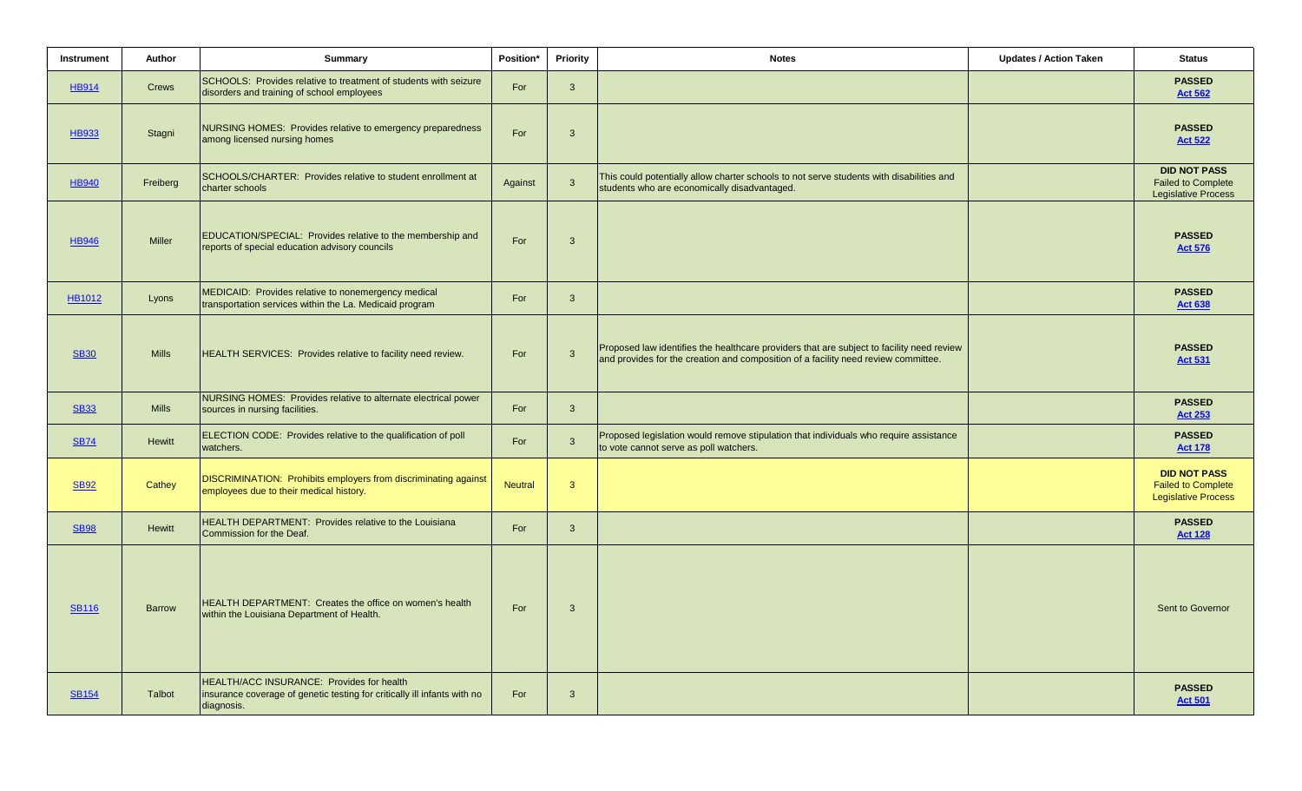| Instrument    | Author        | Summary                                                                                                                             | Position*      | <b>Priority</b> | <b>Notes</b>                                                                                                                                                                    | <b>Updates / Action Taken</b> | <b>Status</b>                                                                  |
|---------------|---------------|-------------------------------------------------------------------------------------------------------------------------------------|----------------|-----------------|---------------------------------------------------------------------------------------------------------------------------------------------------------------------------------|-------------------------------|--------------------------------------------------------------------------------|
| <b>HB914</b>  | Crews         | SCHOOLS: Provides relative to treatment of students with seizure<br>disorders and training of school employees                      | For            | $\mathbf{3}$    |                                                                                                                                                                                 |                               | <b>PASSED</b><br><b>Act 562</b>                                                |
| HB933         | Stagni        | NURSING HOMES: Provides relative to emergency preparedness<br>among licensed nursing homes                                          | For            | $\mathbf{3}$    |                                                                                                                                                                                 |                               | <b>PASSED</b><br><b>Act 522</b>                                                |
| <b>HB940</b>  | Freiberg      | SCHOOLS/CHARTER: Provides relative to student enrollment at<br>charter schools                                                      | Against        | $\mathbf{3}$    | This could potentially allow charter schools to not serve students with disabilities and<br>students who are economically disadvantaged.                                        |                               | <b>DID NOT PASS</b><br><b>Failed to Complete</b><br><b>Legislative Process</b> |
| <b>HB946</b>  | <b>Miller</b> | EDUCATION/SPECIAL: Provides relative to the membership and<br>reports of special education advisory councils                        | For            | 3               |                                                                                                                                                                                 |                               | <b>PASSED</b><br><b>Act 576</b>                                                |
| <b>HB1012</b> | Lyons         | MEDICAID: Provides relative to nonemergency medical<br>transportation services within the La. Medicaid program                      | For            | $\mathbf{3}$    |                                                                                                                                                                                 |                               | <b>PASSED</b><br><b>Act 638</b>                                                |
| <b>SB30</b>   | <b>Mills</b>  | HEALTH SERVICES: Provides relative to facility need review.                                                                         | For            | $\overline{3}$  | Proposed law identifies the healthcare providers that are subject to facility need review<br>and provides for the creation and composition of a facility need review committee. |                               | <b>PASSED</b><br><b>Act 531</b>                                                |
| <b>SB33</b>   | <b>Mills</b>  | NURSING HOMES: Provides relative to alternate electrical power<br>sources in nursing facilities.                                    | For            | $\mathbf{3}$    |                                                                                                                                                                                 |                               | <b>PASSED</b><br><b>Act 253</b>                                                |
| <b>SB74</b>   | <b>Hewitt</b> | ELECTION CODE: Provides relative to the qualification of poll<br>watchers.                                                          | For            | $\mathbf{3}$    | Proposed legislation would remove stipulation that individuals who require assistance<br>to vote cannot serve as poll watchers.                                                 |                               | <b>PASSED</b><br><b>Act 178</b>                                                |
| <b>SB92</b>   | Cathey        | <b>DISCRIMINATION: Prohibits employers from discriminating against</b><br>employees due to their medical history.                   | <b>Neutral</b> | $\mathbf{3}$    |                                                                                                                                                                                 |                               | <b>DID NOT PASS</b><br><b>Failed to Complete</b><br><b>Legislative Process</b> |
| <b>SB98</b>   | <b>Hewitt</b> | HEALTH DEPARTMENT: Provides relative to the Louisiana<br>Commission for the Deaf.                                                   | For            | $\mathbf{3}$    |                                                                                                                                                                                 |                               | <b>PASSED</b><br><b>Act 128</b>                                                |
| <b>SB116</b>  | <b>Barrow</b> | HEALTH DEPARTMENT: Creates the office on women's health<br>within the Louisiana Department of Health.                               | For            | 3               |                                                                                                                                                                                 |                               | Sent to Governor                                                               |
| <b>SB154</b>  | Talbot        | HEALTH/ACC INSURANCE: Provides for health<br>insurance coverage of genetic testing for critically ill infants with no<br>diagnosis. | For            | $\mathbf{3}$    |                                                                                                                                                                                 |                               | <b>PASSED</b><br><b>Act 501</b>                                                |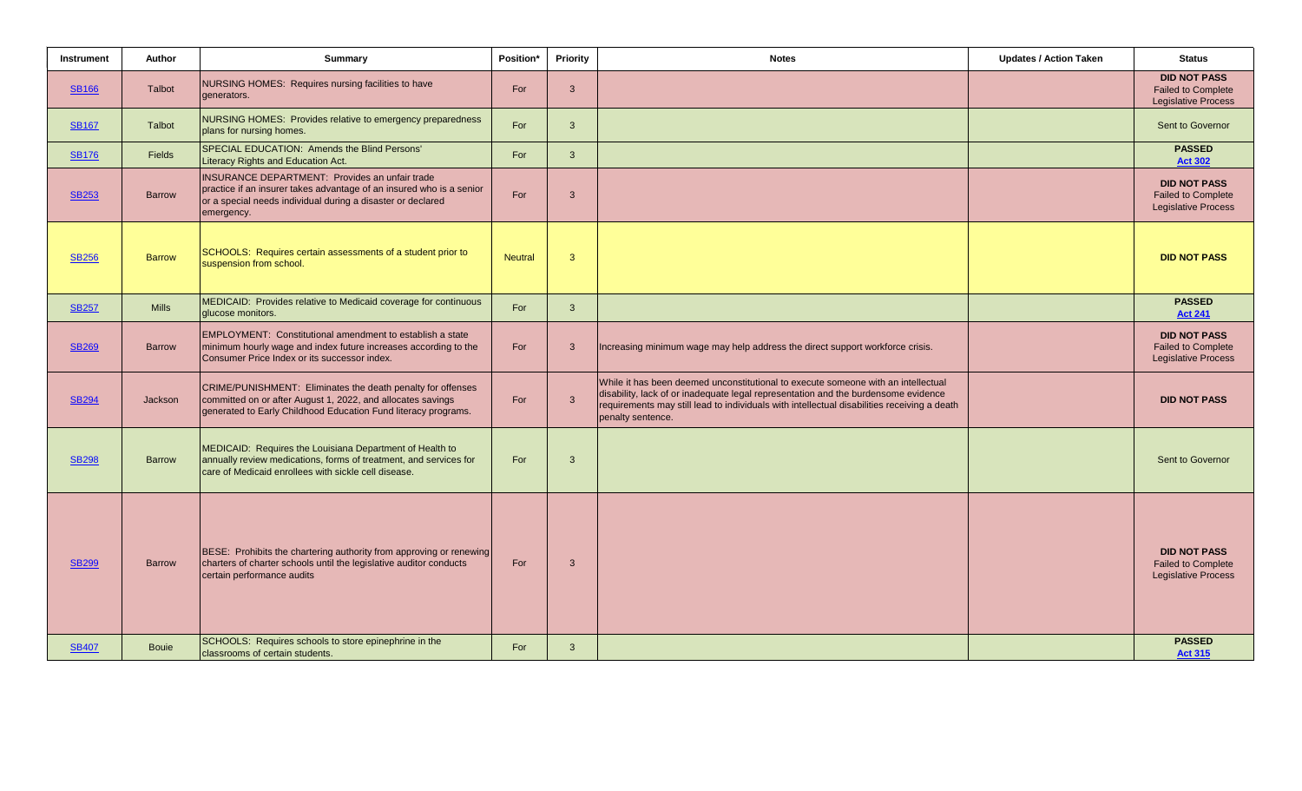| Instrument   | Author        | <b>Summary</b>                                                                                                                                                                                             | Position*      | <b>Priority</b> | <b>Notes</b>                                                                                                                                                                                                                                                                                | <b>Updates / Action Taken</b> | <b>Status</b>                                                                  |
|--------------|---------------|------------------------------------------------------------------------------------------------------------------------------------------------------------------------------------------------------------|----------------|-----------------|---------------------------------------------------------------------------------------------------------------------------------------------------------------------------------------------------------------------------------------------------------------------------------------------|-------------------------------|--------------------------------------------------------------------------------|
| <b>SB166</b> | Talbot        | NURSING HOMES: Requires nursing facilities to have<br>generators.                                                                                                                                          | For            | $\mathbf{3}$    |                                                                                                                                                                                                                                                                                             |                               | <b>DID NOT PASS</b><br><b>Failed to Complete</b><br><b>Legislative Process</b> |
| <b>SB167</b> | <b>Talbot</b> | NURSING HOMES: Provides relative to emergency preparedness<br>plans for nursing homes.                                                                                                                     | For            | $\mathbf{3}$    |                                                                                                                                                                                                                                                                                             |                               | Sent to Governor                                                               |
| <b>SB176</b> | <b>Fields</b> | SPECIAL EDUCATION: Amends the Blind Persons'<br>Literacy Rights and Education Act.                                                                                                                         | For            | $\mathbf{3}$    |                                                                                                                                                                                                                                                                                             |                               | <b>PASSED</b><br><b>Act 302</b>                                                |
| <b>SB253</b> | <b>Barrow</b> | <b>INSURANCE DEPARTMENT: Provides an unfair trade</b><br>practice if an insurer takes advantage of an insured who is a senior<br>or a special needs individual during a disaster or declared<br>emergency. | For            | $\mathbf{3}$    |                                                                                                                                                                                                                                                                                             |                               | <b>DID NOT PASS</b><br><b>Failed to Complete</b><br><b>Legislative Process</b> |
| <b>SB256</b> | <b>Barrow</b> | SCHOOLS: Requires certain assessments of a student prior to<br>suspension from school.                                                                                                                     | <b>Neutral</b> | $\mathbf{3}$    |                                                                                                                                                                                                                                                                                             |                               | <b>DID NOT PASS</b>                                                            |
| <b>SB257</b> | <b>Mills</b>  | MEDICAID: Provides relative to Medicaid coverage for continuous<br>glucose monitors.                                                                                                                       | For            | $\mathbf{3}$    |                                                                                                                                                                                                                                                                                             |                               | <b>PASSED</b><br><b>Act 241</b>                                                |
| <b>SB269</b> | <b>Barrow</b> | <b>EMPLOYMENT: Constitutional amendment to establish a state</b><br>minimum hourly wage and index future increases according to the<br>Consumer Price Index or its successor index.                        | For            | $\mathbf{3}$    | Increasing minimum wage may help address the direct support workforce crisis.                                                                                                                                                                                                               |                               | <b>DID NOT PASS</b><br><b>Failed to Complete</b><br><b>Legislative Process</b> |
| <b>SB294</b> | Jackson       | CRIME/PUNISHMENT: Eliminates the death penalty for offenses<br>committed on or after August 1, 2022, and allocates savings<br>generated to Early Childhood Education Fund literacy programs.               | For            | $\mathbf{3}$    | While it has been deemed unconstitutional to execute someone with an intellectual<br>disability, lack of or inadequate legal representation and the burdensome evidence<br>requirements may still lead to individuals with intellectual disabilities receiving a death<br>penalty sentence. |                               | <b>DID NOT PASS</b>                                                            |
| <b>SB298</b> | <b>Barrow</b> | MEDICAID: Requires the Louisiana Department of Health to<br>annually review medications, forms of treatment, and services for<br>care of Medicaid enrollees with sickle cell disease.                      | For            | $\mathbf{3}$    |                                                                                                                                                                                                                                                                                             |                               | Sent to Governor                                                               |
| <b>SB299</b> | <b>Barrow</b> | BESE: Prohibits the chartering authority from approving or renewing<br>charters of charter schools until the legislative auditor conducts<br>certain performance audits                                    | For            | $\mathbf{3}$    |                                                                                                                                                                                                                                                                                             |                               | <b>DID NOT PASS</b><br><b>Failed to Complete</b><br><b>Legislative Process</b> |
| <b>SB407</b> | <b>Bouje</b>  | SCHOOLS: Requires schools to store epinephrine in the<br>classrooms of certain students.                                                                                                                   | For            | $\mathbf{3}$    |                                                                                                                                                                                                                                                                                             |                               | <b>PASSED</b><br><b>Act 315</b>                                                |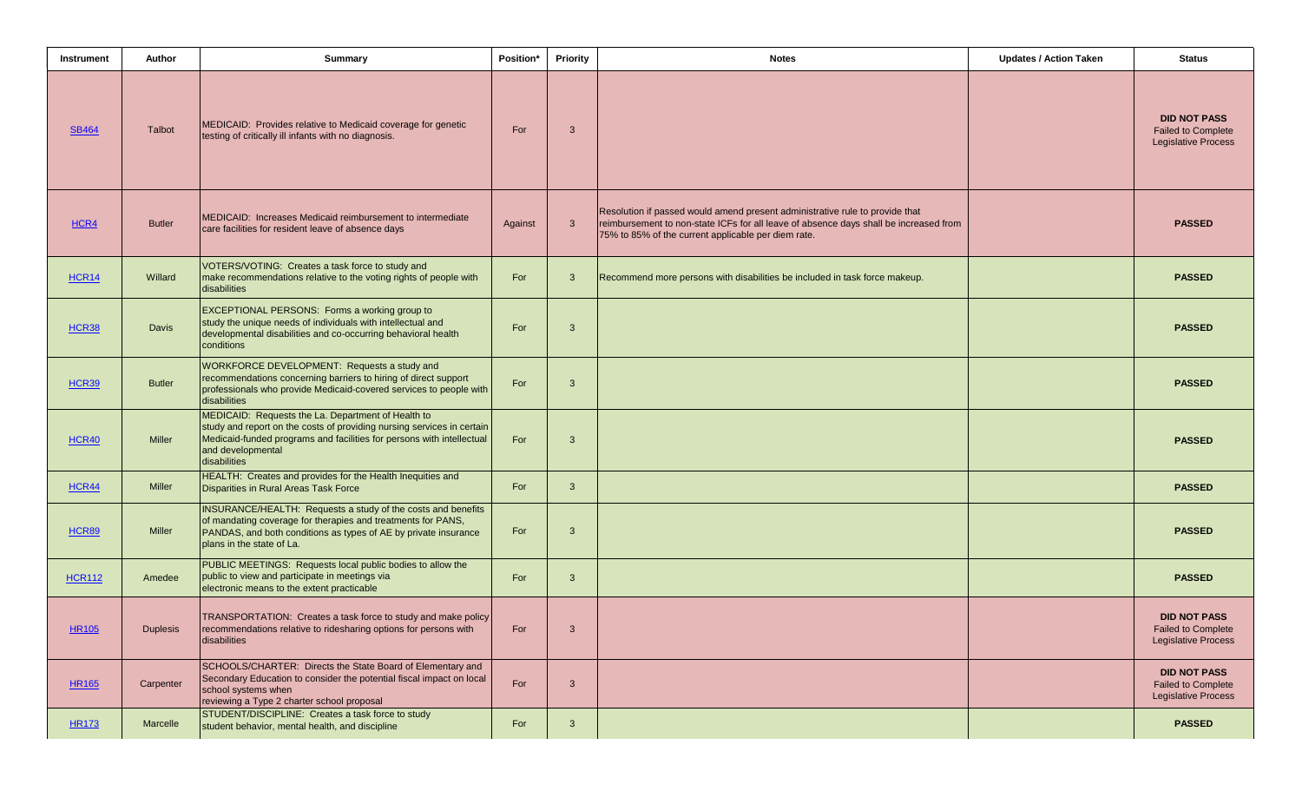| Instrument    | <b>Author</b>   | <b>Summary</b>                                                                                                                                                                                                                             | Position* | <b>Priority</b> | <b>Notes</b>                                                                                                                                                                                                                 | <b>Updates / Action Taken</b> | <b>Status</b>                                                                  |
|---------------|-----------------|--------------------------------------------------------------------------------------------------------------------------------------------------------------------------------------------------------------------------------------------|-----------|-----------------|------------------------------------------------------------------------------------------------------------------------------------------------------------------------------------------------------------------------------|-------------------------------|--------------------------------------------------------------------------------|
| <b>SB464</b>  | <b>Talbot</b>   | MEDICAID: Provides relative to Medicaid coverage for genetic<br>testing of critically ill infants with no diagnosis.                                                                                                                       | For       | 3               |                                                                                                                                                                                                                              |                               | <b>DID NOT PASS</b><br><b>Failed to Complete</b><br><b>Legislative Process</b> |
| HCR4          | <b>Butler</b>   | MEDICAID: Increases Medicaid reimbursement to intermediate<br>care facilities for resident leave of absence days                                                                                                                           | Against   | $\mathbf{3}$    | Resolution if passed would amend present administrative rule to provide that<br>reimbursement to non-state ICFs for all leave of absence days shall be increased from<br>75% to 85% of the current applicable per diem rate. |                               | <b>PASSED</b>                                                                  |
| <b>HCR14</b>  | Willard         | VOTERS/VOTING: Creates a task force to study and<br>make recommendations relative to the voting rights of people with<br>disabilities                                                                                                      | For       | 3               | Recommend more persons with disabilities be included in task force makeup.                                                                                                                                                   |                               | <b>PASSED</b>                                                                  |
| HCR38         | <b>Davis</b>    | EXCEPTIONAL PERSONS: Forms a working group to<br>study the unique needs of individuals with intellectual and<br>developmental disabilities and co-occurring behavioral health<br>conditions                                                | For       | 3               |                                                                                                                                                                                                                              |                               | <b>PASSED</b>                                                                  |
| <b>HCR39</b>  | <b>Butler</b>   | WORKFORCE DEVELOPMENT: Requests a study and<br>recommendations concerning barriers to hiring of direct support<br>professionals who provide Medicaid-covered services to people with<br>disabilities                                       | For       | 3               |                                                                                                                                                                                                                              |                               | <b>PASSED</b>                                                                  |
| HCR40         | <b>Miller</b>   | MEDICAID: Requests the La. Department of Health to<br>study and report on the costs of providing nursing services in certain<br>Medicaid-funded programs and facilities for persons with intellectual<br>and developmental<br>disabilities | For       | 3               |                                                                                                                                                                                                                              |                               | <b>PASSED</b>                                                                  |
| HCR44         | <b>Miller</b>   | HEALTH: Creates and provides for the Health Inequities and<br>Disparities in Rural Areas Task Force                                                                                                                                        | For       | $\mathbf{3}$    |                                                                                                                                                                                                                              |                               | <b>PASSED</b>                                                                  |
| <b>HCR89</b>  | <b>Miller</b>   | INSURANCE/HEALTH: Requests a study of the costs and benefits<br>of mandating coverage for therapies and treatments for PANS,<br>PANDAS, and both conditions as types of AE by private insurance<br>plans in the state of La.               | For       | 3               |                                                                                                                                                                                                                              |                               | <b>PASSED</b>                                                                  |
| <b>HCR112</b> | Amedee          | PUBLIC MEETINGS: Requests local public bodies to allow the<br>public to view and participate in meetings via<br>electronic means to the extent practicable                                                                                 | For       | $\mathbf{3}$    |                                                                                                                                                                                                                              |                               | <b>PASSED</b>                                                                  |
| <b>HR105</b>  | <b>Duplesis</b> | TRANSPORTATION: Creates a task force to study and make policy<br>recommendations relative to ridesharing options for persons with<br>disabilities                                                                                          | For       | 3               |                                                                                                                                                                                                                              |                               | <b>DID NOT PASS</b><br><b>Failed to Complete</b><br><b>Legislative Process</b> |
| <b>HR165</b>  | Carpenter       | SCHOOLS/CHARTER: Directs the State Board of Elementary and<br>Secondary Education to consider the potential fiscal impact on local<br>school systems when<br>reviewing a Type 2 charter school proposal                                    | For       | $\mathbf{3}$    |                                                                                                                                                                                                                              |                               | <b>DID NOT PASS</b><br><b>Failed to Complete</b><br><b>Legislative Process</b> |
| <b>HR173</b>  | Marcelle        | STUDENT/DISCIPLINE: Creates a task force to study<br>student behavior, mental health, and discipline                                                                                                                                       | For       | $\mathbf{3}$    |                                                                                                                                                                                                                              |                               | <b>PASSED</b>                                                                  |